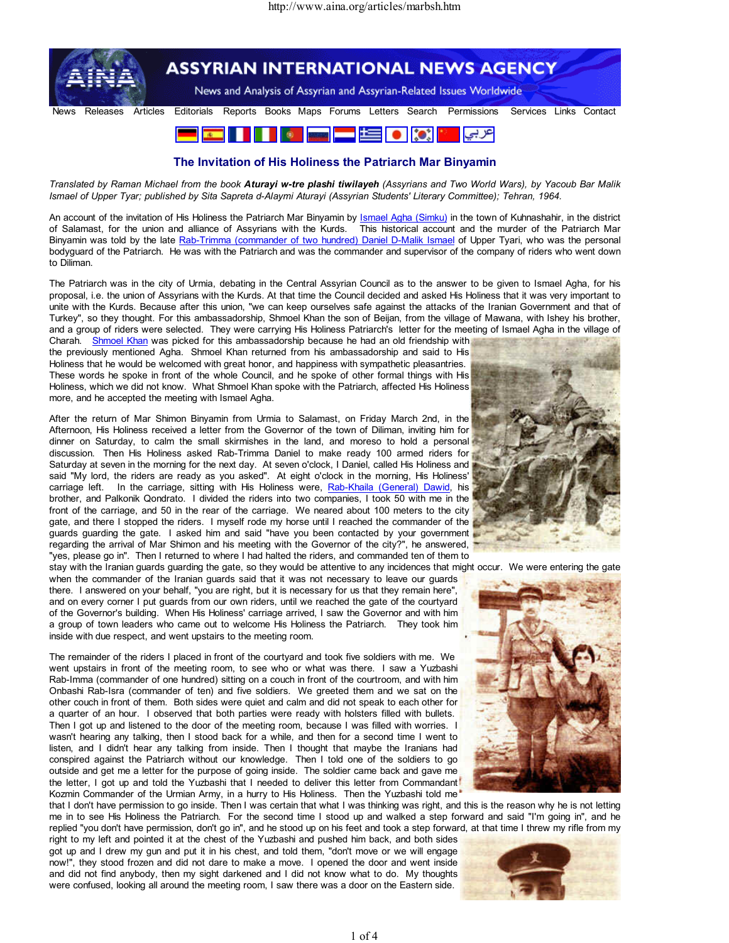

## The Invitation of His Holiness the Patriarch Mar Binyamin

Translated by Raman Michael from the book Aturayi w-tre plashi tiwilayeh (Assyrians and Two World Wars), by Yacoub Bar Malik Ismael of Upper Tyar; published by Sita Sapreta d-Alaymi Aturayi (Assyrian Students' Literary Committee); Tehran, 1964.

An account of the invitation of His Holiness the Patriarch Mar Binyamin by Ismael Agha (Simku) in the town of Kuhnashahir, in the district of Salamast, for the union and alliance of Assyrians with the Kurds. This historical account and the murder of the Patriarch Mar Binyamin was told by the late Rab-Trimma (commander of two hundred) Daniel D-Malik Ismael of Upper Tyari, who was the personal bodyguard of the Patriarch. He was with the Patriarch and was the commander and supervisor of the company of riders who went down to Diliman.

The Patriarch was in the city of Urmia, debating in the Central Assyrian Council as to the answer to be given to Ismael Agha, for his proposal, i.e. the union of Assyrians with the Kurds. At that time the Council decided and asked His Holiness that it was very important to unite with the Kurds. Because after this union, "we can keep ourselves safe against the attacks of the Iranian Government and that of Turkey", so they thought. For this ambassadorship, Shmoel Khan the son of Beijan, from the village of Mawana, with Ishey his brother, and a group of riders were selected. They were carrying His Holiness Patriarch's letter for the meeting of Ismael Agha in the village of

Charah. Shmoel Khan was picked for this ambassadorship because he had an old friendship with the previously mentioned Agha. Shmoel Khan returned from his ambassadorship and said to His Holiness that he would be welcomed with great honor, and happiness with sympathetic pleasantries. These words he spoke in front of the whole Council, and he spoke of other formal things with His Holiness, which we did not know. What Shmoel Khan spoke with the Patriarch, affected His Holiness more, and he accepted the meeting with Ismael Agha.

After the return of Mar Shimon Binyamin from Urmia to Salamast, on Friday March 2nd, in the Afternoon, His Holiness received a letter from the Governor of the town of Diliman, inviting him for dinner on Saturday, to calm the small skirmishes in the land, and moreso to hold a personal discussion. Then His Holiness asked Rab-Trimma Daniel to make ready 100 armed riders for Saturday at seven in the morning for the next day. At seven o'clock, I Daniel, called His Holiness and said "My lord, the riders are ready as you asked". At eight o'clock in the morning, His Holiness' carriage left. In the carriage, sitting with His Holiness were, Rab-Khaila (General) Dawid, his brother, and Palkonik Qondrato. I divided the riders into two companies, I took 50 with me in the front of the carriage, and 50 in the rear of the carriage. We neared about 100 meters to the city gate, and there I stopped the riders. I myself rode my horse until I reached the commander of the guards guarding the gate. I asked him and said "have you been contacted by your government regarding the arrival of Mar Shimon and his meeting with the Governor of the city?", he answered, "yes, please go in". Then I returned to where I had halted the riders, and commanded ten of them to stay with the Iranian guards guarding the gate, so they would be attentive to any incidences that might occur. We were entering the gate

when the commander of the Iranian guards said that it was not necessary to leave our guards there. I answered on your behalf, "you are right, but it is necessary for us that they remain here", and on every corner I put guards from our own riders, until we reached the gate of the courtyard of the Governor's building. When His Holiness' carriage arrived, I saw the Governor and with him a group of town leaders who came out to welcome His Holiness the Patriarch. They took him inside with due respect, and went upstairs to the meeting room.

The remainder of the riders I placed in front of the courtyard and took five soldiers with me. We went upstairs in front of the meeting room, to see who or what was there. I saw a Yuzbashi Rab-Imma (commander of one hundred) sitting on a couch in front of the courtroom, and with him Onbashi Rab-Isra (commander of ten) and five soldiers. We greeted them and we sat on the other couch in front of them. Both sides were quiet and calm and did not speak to each other for a quarter of an hour. I observed that both parties were ready with holsters filled with bullets. Then I got up and listened to the door of the meeting room, because I was filled with worries. I wasn't hearing any talking, then I stood back for a while, and then for a second time I went to listen, and I didn't hear any talking from inside. Then I thought that maybe the Iranians had conspired against the Patriarch without our knowledge. Then I told one of the soldiers to go outside and get me a letter for the purpose of going inside. The soldier came back and gave me the letter, I got up and told the Yuzbashi that I needed to deliver this letter from Commandant Kozmin Commander of the Urmian Army, in a hurry to His Holiness. Then the Yuzbashi told me

that I don't have permission to go inside. Then I was certain that what I was thinking was right, and this is the reason why he is not letting me in to see His Holiness the Patriarch. For the second time I stood up and walked a step forward and said "I'm going in", and he replied "you don't have permission, don't go in", and he stood up on his feet and took a step forward, at that time I threw my rifle from my

right to my left and pointed it at the chest of the Yuzbashi and pushed him back, and both sides got up and I drew my gun and put it in his chest, and told them, "don't move or we will engage now!", they stood frozen and did not dare to make a move. I opened the door and went inside and did not find anybody, then my sight darkened and I did not know what to do. My thoughts were confused, looking all around the meeting room, I saw there was a door on the Eastern side.





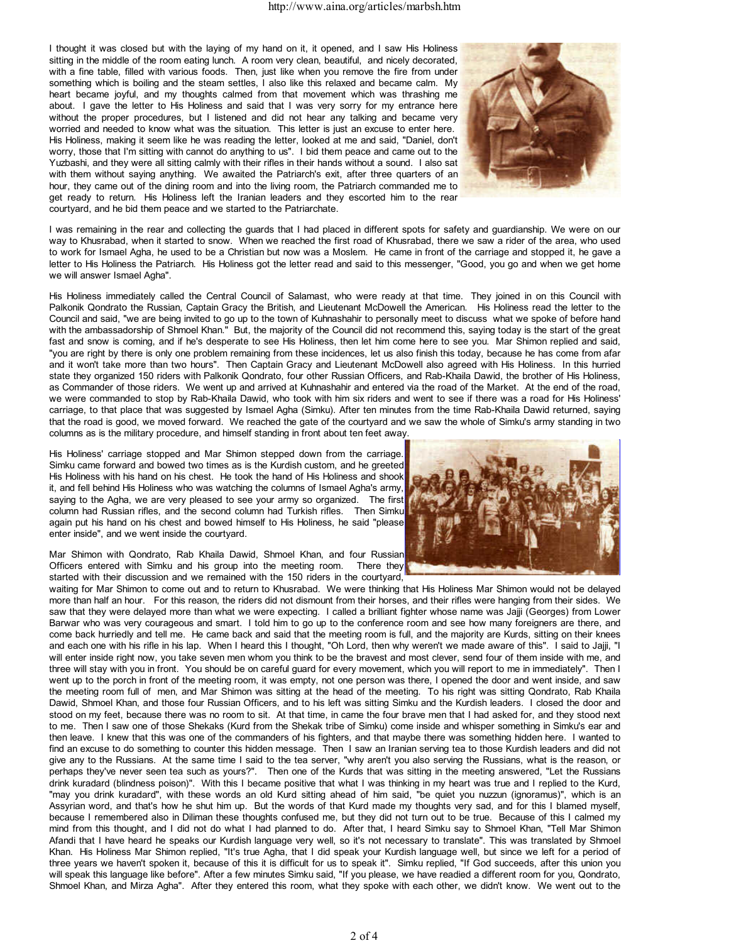I thought it was closed but with the laying of my hand on it, it opened, and I saw His Holiness sitting in the middle of the room eating lunch. A room very clean, beautiful, and nicely decorated, with a fine table, filled with various foods. Then, just like when you remove the fire from under something which is boiling and the steam settles, I also like this relaxed and became calm. My heart became joyful, and my thoughts calmed from that movement which was thrashing me about. I gave the letter to His Holiness and said that I was very sorry for my entrance here without the proper procedures, but I listened and did not hear any talking and became very worried and needed to know what was the situation. This letter is just an excuse to enter here. His Holiness, making it seem like he was reading the letter, looked at me and said, "Daniel, don't worry, those that I'm sitting with cannot do anything to us". I bid them peace and came out to the Yuzbashi, and they were all sitting calmly with their rifles in their hands without a sound. I also sat with them without saying anything. We awaited the Patriarch's exit, after three quarters of an hour, they came out of the dining room and into the living room, the Patriarch commanded me to get ready to return. His Holiness left the Iranian leaders and they escorted him to the rear courtyard, and he bid them peace and we started to the Patriarchate.



I was remaining in the rear and collecting the guards that I had placed in different spots for safety and guardianship. We were on our way to Khusrabad, when it started to snow. When we reached the first road of Khusrabad, there we saw a rider of the area, who used to work for Ismael Agha, he used to be a Christian but now was a Moslem. He came in front of the carriage and stopped it, he gave a letter to His Holiness the Patriarch. His Holiness got the letter read and said to this messenger, "Good, you go and when we get home we will answer Ismael Agha".

His Holiness immediately called the Central Council of Salamast, who were ready at that time. They joined in on this Council with Palkonik Qondrato the Russian, Captain Gracy the British, and Lieutenant McDowell the American. His Holiness read the letter to the Council and said, "we are being invited to go up to the town of Kuhnashahir to personally meet to discuss what we spoke of before hand with the ambassadorship of Shmoel Khan." But, the majority of the Council did not recommend this, saying today is the start of the great fast and snow is coming, and if he's desperate to see His Holiness, then let him come here to see you. Mar Shimon replied and said, "you are right by there is only one problem remaining from these incidences, let us also finish this today, because he has come from afar and it won't take more than two hours". Then Captain Gracy and Lieutenant McDowell also agreed with His Holiness. In this hurried state they organized 150 riders with Palkonik Qondrato, four other Russian Officers, and Rab-Khaila Dawid, the brother of His Holiness, as Commander of those riders. We went up and arrived at Kuhnashahir and entered via the road of the Market. At the end of the road, we were commanded to stop by Rab-Khaila Dawid, who took with him six riders and went to see if there was a road for His Holiness' carriage, to that place that was suggested by Ismael Agha (Simku). After ten minutes from the time Rab-Khaila Dawid returned, saying that the road is good, we moved forward. We reached the gate of the courtyard and we saw the whole of Simku's army standing in two columns as is the military procedure, and himself standing in front about ten feet away.

His Holiness' carriage stopped and Mar Shimon stepped down from the carriage. Simku came forward and bowed two times as is the Kurdish custom, and he greeted His Holiness with his hand on his chest. He took the hand of His Holiness and shook it, and fell behind His Holiness who was watching the columns of Ismael Agha's army, saying to the Agha, we are very pleased to see your army so organized. The first column had Russian rifles, and the second column had Turkish rifles. Then Simku again put his hand on his chest and bowed himself to His Holiness, he said "please enter inside", and we went inside the courtyard.

Mar Shimon with Qondrato, Rab Khaila Dawid, Shmoel Khan, and four Russian Officers entered with Simku and his group into the meeting room. There they started with their discussion and we remained with the 150 riders in the courtyard,



waiting for Mar Shimon to come out and to return to Khusrabad. We were thinking that His Holiness Mar Shimon would not be delayed more than half an hour. For this reason, the riders did not dismount from their horses, and their rifles were hanging from their sides. We saw that they were delayed more than what we were expecting. I called a brilliant fighter whose name was Jajji (Georges) from Lower Barwar who was very courageous and smart. I told him to go up to the conference room and see how many foreigners are there, and come back hurriedly and tell me. He came back and said that the meeting room is full, and the majority are Kurds, sitting on their knees and each one with his rifle in his lap. When I heard this I thought, "Oh Lord, then why weren't we made aware of this". I said to Jajji, "I will enter inside right now, you take seven men whom you think to be the bravest and most clever, send four of them inside with me, and three will stay with you in front. You should be on careful guard for every movement, which you will report to me in immediately". Then I went up to the porch in front of the meeting room, it was empty, not one person was there, I opened the door and went inside, and saw the meeting room full of men, and Mar Shimon was sitting at the head of the meeting. To his right was sitting Qondrato, Rab Khaila Dawid, Shmoel Khan, and those four Russian Officers, and to his left was sitting Simku and the Kurdish leaders. I closed the door and stood on my feet, because there was no room to sit. At that time, in came the four brave men that I had asked for, and they stood next to me. Then I saw one of those Shekaks (Kurd from the Shekak tribe of Simku) come inside and whisper something in Simku's ear and then leave. I knew that this was one of the commanders of his fighters, and that maybe there was something hidden here. I wanted to find an excuse to do something to counter this hidden message. Then I saw an Iranian serving tea to those Kurdish leaders and did not give any to the Russians. At the same time I said to the tea server, "why aren't you also serving the Russians, what is the reason, or perhaps they've never seen tea such as yours?". Then one of the Kurds that was sitting in the meeting answered, "Let the Russians drink kuradard (blindness poison)". With this I became positive that what I was thinking in my heart was true and I replied to the Kurd, "may you drink kuradard", with these words an old Kurd sitting ahead of him said, "be quiet you nuzzun (ignoramus)", which is an Assyrian word, and that's how he shut him up. But the words of that Kurd made my thoughts very sad, and for this I blamed myself, because I remembered also in Diliman these thoughts confused me, but they did not turn out to be true. Because of this I calmed my mind from this thought, and I did not do what I had planned to do. After that, I heard Simku say to Shmoel Khan, "Tell Mar Shimon Afandi that I have heard he speaks our Kurdish language very well, so it's not necessary to translate". This was translated by Shmoel Khan. His Holiness Mar Shimon replied, "It's true Agha, that I did speak your Kurdish language well, but since we left for a period of three years we haven't spoken it, because of this it is difficult for us to speak it". Simku replied, "If God succeeds, after this union you will speak this language like before". After a few minutes Simku said, "If you please, we have readied a different room for you, Qondrato, Shmoel Khan, and Mirza Agha". After they entered this room, what they spoke with each other, we didn't know. We went out to the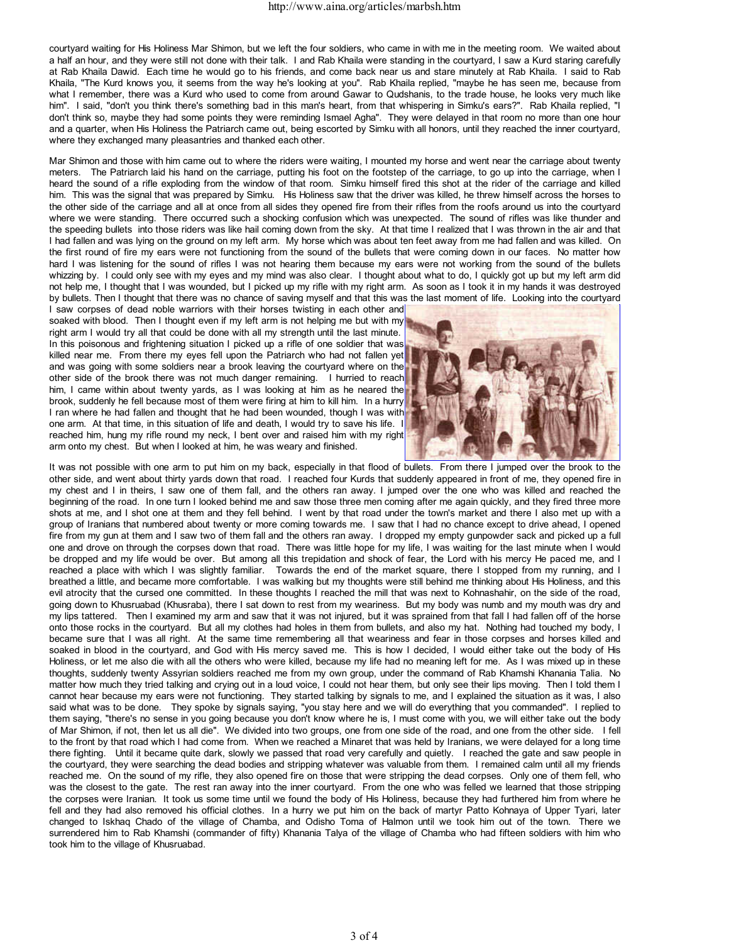courtyard waiting for His Holiness Mar Shimon, but we left the four soldiers, who came in with me in the meeting room. We waited about a half an hour, and they were still not done with their talk. I and Rab Khaila were standing in the courtyard, I saw a Kurd staring carefully at Rab Khaila Dawid. Each time he would go to his friends, and come back near us and stare minutely at Rab Khaila. I said to Rab Khaila, "The Kurd knows you, it seems from the way he's looking at you". Rab Khaila replied, "maybe he has seen me, because from what I remember, there was a Kurd who used to come from around Gawar to Qudshanis, to the trade house, he looks very much like him". I said, "don't you think there's something bad in this man's heart, from that whispering in Simku's ears?". Rab Khaila replied, "I don't think so, maybe they had some points they were reminding Ismael Agha". They were delayed in that room no more than one hour and a quarter, when His Holiness the Patriarch came out, being escorted by Simku with all honors, until they reached the inner courtyard, where they exchanged many pleasantries and thanked each other.

Mar Shimon and those with him came out to where the riders were waiting, I mounted my horse and went near the carriage about twenty meters. The Patriarch laid his hand on the carriage, putting his foot on the footstep of the carriage, to go up into the carriage, when I heard the sound of a rifle exploding from the window of that room. Simku himself fired this shot at the rider of the carriage and killed him. This was the signal that was prepared by Simku. His Holiness saw that the driver was killed, he threw himself across the horses to the other side of the carriage and all at once from all sides they opened fire from their rifles from the roofs around us into the courtyard where we were standing. There occurred such a shocking confusion which was unexpected. The sound of rifles was like thunder and the speeding bullets into those riders was like hail coming down from the sky. At that time I realized that I was thrown in the air and that I had fallen and was lying on the ground on my left arm. My horse which was about ten feet away from me had fallen and was killed. On the first round of fire my ears were not functioning from the sound of the bullets that were coming down in our faces. No matter how hard I was listening for the sound of rifles I was not hearing them because my ears were not working from the sound of the bullets whizzing by. I could only see with my eyes and my mind was also clear. I thought about what to do, I quickly got up but my left arm did not help me, I thought that I was wounded, but I picked up my rifle with my right arm. As soon as I took it in my hands it was destroyed by bullets. Then I thought that there was no chance of saving myself and that this was the last moment of life. Looking into the courtyard I saw corpses of dead noble warriors with their horses twisting in each other and

soaked with blood. Then I thought even if my left arm is not helping me but with my right arm I would try all that could be done with all my strength until the last minute. In this poisonous and frightening situation I picked up a rifle of one soldier that was killed near me. From there my eyes fell upon the Patriarch who had not fallen yet and was going with some soldiers near a brook leaving the courtyard where on the other side of the brook there was not much danger remaining. I hurried to reach him, I came within about twenty yards, as I was looking at him as he neared the brook, suddenly he fell because most of them were firing at him to kill him. In a hurry I ran where he had fallen and thought that he had been wounded, though I was with one arm. At that time, in this situation of life and death, I would try to save his life. I reached him, hung my rifle round my neck, I bent over and raised him with my right arm onto my chest. But when I looked at him, he was weary and finished.



It was not possible with one arm to put him on my back, especially in that flood of bullets. From there I jumped over the brook to the other side, and went about thirty yards down that road. I reached four Kurds that suddenly appeared in front of me, they opened fire in my chest and I in theirs, I saw one of them fall, and the others ran away. I jumped over the one who was killed and reached the beginning of the road. In one turn I looked behind me and saw those three men coming after me again quickly, and they fired three more shots at me, and I shot one at them and they fell behind. I went by that road under the town's market and there I also met up with a group of Iranians that numbered about twenty or more coming towards me. I saw that I had no chance except to drive ahead, I opened fire from my gun at them and I saw two of them fall and the others ran away. I dropped my empty gunpowder sack and picked up a full one and drove on through the corpses down that road. There was little hope for my life, I was waiting for the last minute when I would be dropped and my life would be over. But among all this trepidation and shock of fear, the Lord with his mercy He paced me, and I reached a place with which I was slightly familiar. Towards the end of the market square, there I stopped from my running, and I breathed a little, and became more comfortable. I was walking but my thoughts were still behind me thinking about His Holiness, and this evil atrocity that the cursed one committed. In these thoughts I reached the mill that was next to Kohnashahir, on the side of the road, going down to Khusruabad (Khusraba), there I sat down to rest from my weariness. But my body was numb and my mouth was dry and my lips tattered. Then I examined my arm and saw that it was not injured, but it was sprained from that fall I had fallen off of the horse onto those rocks in the courtyard. But all my clothes had holes in them from bullets, and also my hat. Nothing had touched my body, I became sure that I was all right. At the same time remembering all that weariness and fear in those corpses and horses killed and soaked in blood in the courtyard, and God with His mercy saved me. This is how I decided, I would either take out the body of His Holiness, or let me also die with all the others who were killed, because my life had no meaning left for me. As I was mixed up in these thoughts, suddenly twenty Assyrian soldiers reached me from my own group, under the command of Rab Khamshi Khanania Talia. No matter how much they tried talking and crying out in a loud voice, I could not hear them, but only see their lips moving. Then I told them I cannot hear because my ears were not functioning. They started talking by signals to me, and I explained the situation as it was, I also said what was to be done. They spoke by signals saying, "you stay here and we will do everything that you commanded". I replied to them saying, "there's no sense in you going because you don't know where he is, I must come with you, we will either take out the body of Mar Shimon, if not, then let us all die". We divided into two groups, one from one side of the road, and one from the other side. I fell to the front by that road which I had come from. When we reached a Minaret that was held by Iranians, we were delayed for a long time there fighting. Until it became quite dark, slowly we passed that road very carefully and quietly. I reached the gate and saw people in the courtyard, they were searching the dead bodies and stripping whatever was valuable from them. I remained calm until all my friends reached me. On the sound of my rifle, they also opened fire on those that were stripping the dead corpses. Only one of them fell, who was the closest to the gate. The rest ran away into the inner courtyard. From the one who was felled we learned that those stripping the corpses were Iranian. It took us some time until we found the body of His Holiness, because they had furthered him from where he fell and they had also removed his official clothes. In a hurry we put him on the back of martyr Patto Kohnaya of Upper Tyari, later changed to Iskhaq Chado of the village of Chamba, and Odisho Toma of Halmon until we took him out of the town. There we surrendered him to Rab Khamshi (commander of fifty) Khanania Talya of the village of Chamba who had fifteen soldiers with him who took him to the village of Khusruabad.